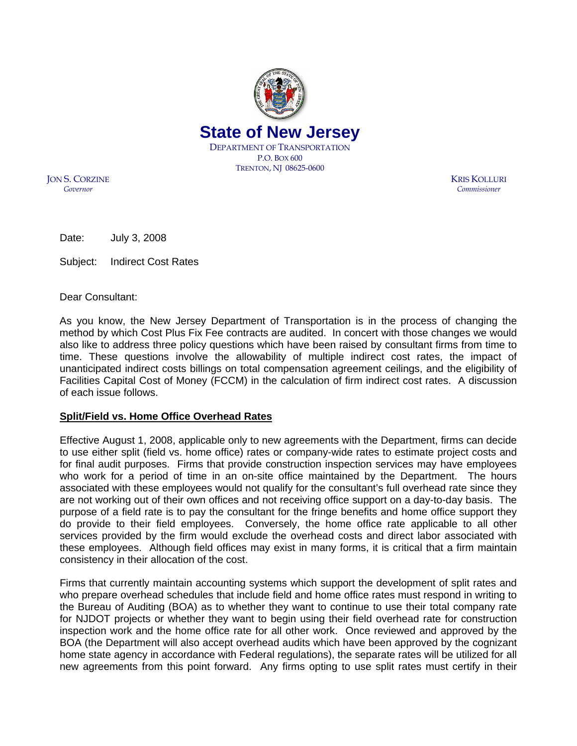

**JON S. CORZINE** *Governor* 

KRIS KOLLURI *Commissioner* 

Date:July 3, 2008

Subject: Indirect Cost Rates

Dear Consultant:

As you know, the New Jersey Department of Transportation is in the process of changing the method by which Cost Plus Fix Fee contracts are audited. In concert with those changes we would also like to address three policy questions which have been raised by consultant firms from time to time. These questions involve the allowability of multiple indirect cost rates, the impact of unanticipated indirect costs billings on total compensation agreement ceilings, and the eligibility of Facilities Capital Cost of Money (FCCM) in the calculation of firm indirect cost rates. A discussion of each issue follows.

## **Split/Field vs. Home Office Overhead Rates**

Effective August 1, 2008, applicable only to new agreements with the Department, firms can decide to use either split (field vs. home office) rates or company-wide rates to estimate project costs and for final audit purposes. Firms that provide construction inspection services may have employees who work for a period of time in an on-site office maintained by the Department. The hours associated with these employees would not qualify for the consultant's full overhead rate since they are not working out of their own offices and not receiving office support on a day-to-day basis. The purpose of a field rate is to pay the consultant for the fringe benefits and home office support they do provide to their field employees. Conversely, the home office rate applicable to all other services provided by the firm would exclude the overhead costs and direct labor associated with these employees. Although field offices may exist in many forms, it is critical that a firm maintain consistency in their allocation of the cost.

Firms that currently maintain accounting systems which support the development of split rates and who prepare overhead schedules that include field and home office rates must respond in writing to the Bureau of Auditing (BOA) as to whether they want to continue to use their total company rate for NJDOT projects or whether they want to begin using their field overhead rate for construction inspection work and the home office rate for all other work. Once reviewed and approved by the BOA (the Department will also accept overhead audits which have been approved by the cognizant home state agency in accordance with Federal regulations), the separate rates will be utilized for all new agreements from this point forward. Any firms opting to use split rates must certify in their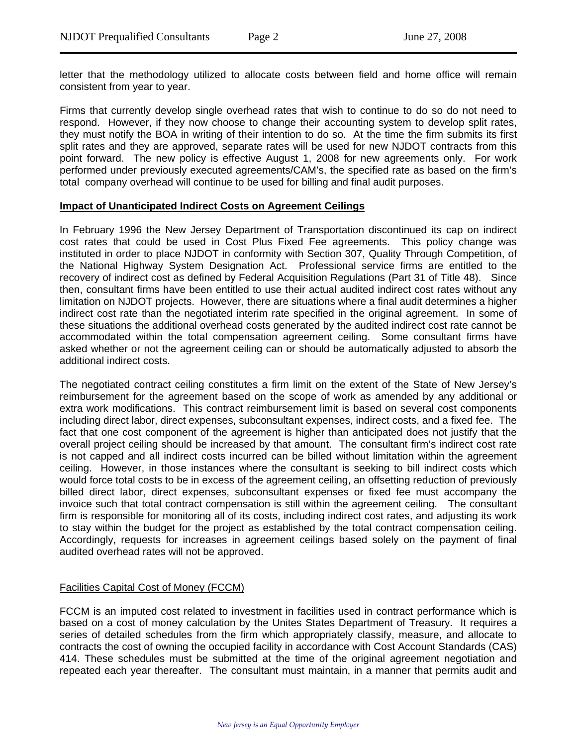letter that the methodology utilized to allocate costs between field and home office will remain consistent from year to year.

Firms that currently develop single overhead rates that wish to continue to do so do not need to respond. However, if they now choose to change their accounting system to develop split rates, they must notify the BOA in writing of their intention to do so. At the time the firm submits its first split rates and they are approved, separate rates will be used for new NJDOT contracts from this point forward. The new policy is effective August 1, 2008 for new agreements only. For work performed under previously executed agreements/CAM's, the specified rate as based on the firm's total company overhead will continue to be used for billing and final audit purposes.

## **Impact of Unanticipated Indirect Costs on Agreement Ceilings**

In February 1996 the New Jersey Department of Transportation discontinued its cap on indirect cost rates that could be used in Cost Plus Fixed Fee agreements. This policy change was instituted in order to place NJDOT in conformity with Section 307, Quality Through Competition, of the National Highway System Designation Act. Professional service firms are entitled to the recovery of indirect cost as defined by Federal Acquisition Regulations (Part 31 of Title 48). Since then, consultant firms have been entitled to use their actual audited indirect cost rates without any limitation on NJDOT projects. However, there are situations where a final audit determines a higher indirect cost rate than the negotiated interim rate specified in the original agreement. In some of these situations the additional overhead costs generated by the audited indirect cost rate cannot be accommodated within the total compensation agreement ceiling. Some consultant firms have asked whether or not the agreement ceiling can or should be automatically adjusted to absorb the additional indirect costs.

The negotiated contract ceiling constitutes a firm limit on the extent of the State of New Jersey's reimbursement for the agreement based on the scope of work as amended by any additional or extra work modifications. This contract reimbursement limit is based on several cost components including direct labor, direct expenses, subconsultant expenses, indirect costs, and a fixed fee. The fact that one cost component of the agreement is higher than anticipated does not justify that the overall project ceiling should be increased by that amount. The consultant firm's indirect cost rate is not capped and all indirect costs incurred can be billed without limitation within the agreement ceiling. However, in those instances where the consultant is seeking to bill indirect costs which would force total costs to be in excess of the agreement ceiling, an offsetting reduction of previously billed direct labor, direct expenses, subconsultant expenses or fixed fee must accompany the invoice such that total contract compensation is still within the agreement ceiling. The consultant firm is responsible for monitoring all of its costs, including indirect cost rates, and adjusting its work to stay within the budget for the project as established by the total contract compensation ceiling. Accordingly, requests for increases in agreement ceilings based solely on the payment of final audited overhead rates will not be approved.

## Facilities Capital Cost of Money (FCCM)

FCCM is an imputed cost related to investment in facilities used in contract performance which is based on a cost of money calculation by the Unites States Department of Treasury. It requires a series of detailed schedules from the firm which appropriately classify, measure, and allocate to contracts the cost of owning the occupied facility in accordance with Cost Account Standards (CAS) 414. These schedules must be submitted at the time of the original agreement negotiation and repeated each year thereafter. The consultant must maintain, in a manner that permits audit and